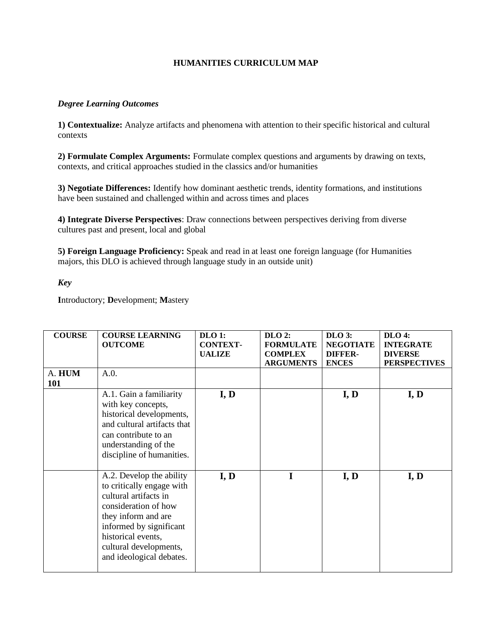## **HUMANITIES CURRICULUM MAP**

## *Degree Learning Outcomes*

**1) Contextualize:** Analyze artifacts and phenomena with attention to their specific historical and cultural contexts

**2) Formulate Complex Arguments:** Formulate complex questions and arguments by drawing on texts, contexts, and critical approaches studied in the classics and/or humanities

**3) Negotiate Differences:** Identify how dominant aesthetic trends, identity formations, and institutions have been sustained and challenged within and across times and places

**4) Integrate Diverse Perspectives**: Draw connections between perspectives deriving from diverse cultures past and present, local and global

**5) Foreign Language Proficiency:** Speak and read in at least one foreign language (for Humanities majors, this DLO is achieved through language study in an outside unit)

*Key*

**I**ntroductory; **D**evelopment; **M**astery

| <b>COURSE</b><br>A. HUM<br>101 | <b>COURSE LEARNING</b><br><b>OUTCOME</b><br>A.0.                                                                                                                                                                                     | <b>DLO 1:</b><br><b>CONTEXT-</b><br><b>UALIZE</b> | $DLO$ 2:<br><b>FORMULATE</b><br><b>COMPLEX</b><br><b>ARGUMENTS</b> | $DLO$ 3:<br><b>NEGOTIATE</b><br><b>DIFFER-</b><br><b>ENCES</b> | DLO 4:<br><b>INTEGRATE</b><br><b>DIVERSE</b><br><b>PERSPECTIVES</b> |
|--------------------------------|--------------------------------------------------------------------------------------------------------------------------------------------------------------------------------------------------------------------------------------|---------------------------------------------------|--------------------------------------------------------------------|----------------------------------------------------------------|---------------------------------------------------------------------|
|                                | A.1. Gain a familiarity<br>with key concepts,<br>historical developments,<br>and cultural artifacts that<br>can contribute to an<br>understanding of the<br>discipline of humanities.                                                | I, D                                              |                                                                    | I, D                                                           | I, D                                                                |
|                                | A.2. Develop the ability<br>to critically engage with<br>cultural artifacts in<br>consideration of how<br>they inform and are<br>informed by significant<br>historical events,<br>cultural developments,<br>and ideological debates. | I, D                                              |                                                                    | I, D                                                           | I, D                                                                |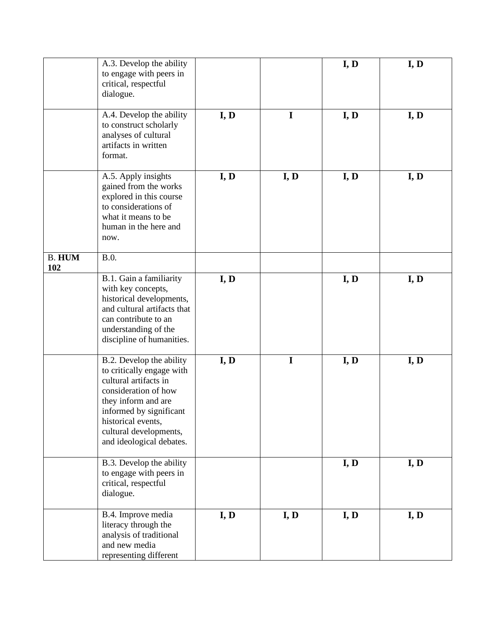|                      | A.3. Develop the ability<br>to engage with peers in<br>critical, respectful<br>dialogue.                                                                                                                                             |      |             | I, D | I, D |
|----------------------|--------------------------------------------------------------------------------------------------------------------------------------------------------------------------------------------------------------------------------------|------|-------------|------|------|
|                      | A.4. Develop the ability<br>to construct scholarly<br>analyses of cultural<br>artifacts in written<br>format.                                                                                                                        | I, D | I           | I, D | I, D |
|                      | A.5. Apply insights<br>gained from the works<br>explored in this course<br>to considerations of<br>what it means to be<br>human in the here and<br>now.                                                                              | I, D | I, D        | I, D | I, D |
| <b>B. HUM</b><br>102 | B.0.                                                                                                                                                                                                                                 |      |             |      |      |
|                      | B.1. Gain a familiarity<br>with key concepts,<br>historical developments,<br>and cultural artifacts that<br>can contribute to an<br>understanding of the<br>discipline of humanities.                                                | I, D |             | I, D | I, D |
|                      | B.2. Develop the ability<br>to critically engage with<br>cultural artifacts in<br>consideration of how<br>they inform and are<br>informed by significant<br>historical events,<br>cultural developments,<br>and ideological debates. | I, D | $\mathbf I$ | I, D | I, D |
|                      | B.3. Develop the ability<br>to engage with peers in<br>critical, respectful<br>dialogue.                                                                                                                                             |      |             | I, D | I, D |
|                      | B.4. Improve media<br>literacy through the<br>analysis of traditional<br>and new media<br>representing different                                                                                                                     | I, D | I, D        | I, D | I, D |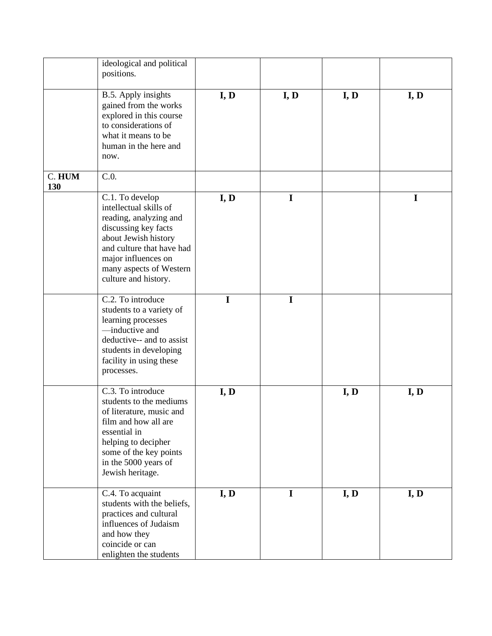|               | ideological and political<br>positions.                                                                                                                                                                                    |             |             |      |      |
|---------------|----------------------------------------------------------------------------------------------------------------------------------------------------------------------------------------------------------------------------|-------------|-------------|------|------|
|               | B.5. Apply insights<br>gained from the works<br>explored in this course<br>to considerations of<br>what it means to be<br>human in the here and<br>now.                                                                    | I, D        | I, D        | I, D | I, D |
| C. HUM<br>130 | C.0.                                                                                                                                                                                                                       |             |             |      |      |
|               | C.1. To develop<br>intellectual skills of<br>reading, analyzing and<br>discussing key facts<br>about Jewish history<br>and culture that have had<br>major influences on<br>many aspects of Western<br>culture and history. | I, D        | $\mathbf I$ |      | 1    |
|               | C.2. To introduce<br>students to a variety of<br>learning processes<br>-inductive and<br>deductive-- and to assist<br>students in developing<br>facility in using these<br>processes.                                      | $\mathbf I$ | $\mathbf I$ |      |      |
|               | C.3. To introduce<br>students to the mediums<br>of literature, music and<br>film and how all are<br>essential in<br>helping to decipher<br>some of the key points<br>in the 5000 years of<br>Jewish heritage.              | I, D        |             | I, D | I, D |
|               | C.4. To acquaint<br>students with the beliefs,<br>practices and cultural<br>influences of Judaism<br>and how they<br>coincide or can<br>enlighten the students                                                             | I, D        | $\mathbf I$ | I, D | I, D |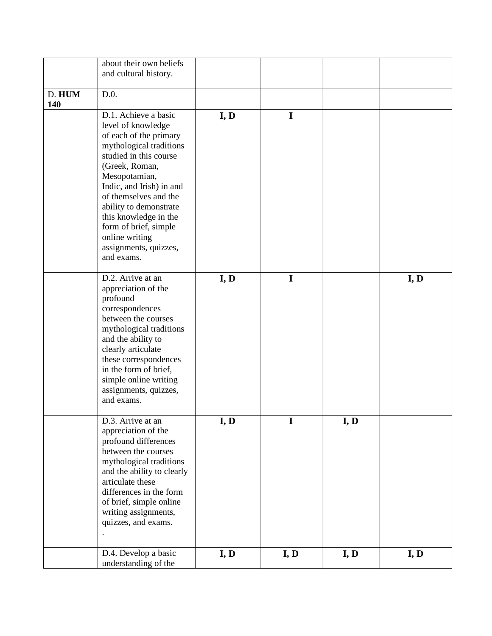|        | about their own beliefs    |      |             |      |      |
|--------|----------------------------|------|-------------|------|------|
|        |                            |      |             |      |      |
|        | and cultural history.      |      |             |      |      |
|        |                            |      |             |      |      |
| D. HUM | D.0.                       |      |             |      |      |
| 140    |                            |      |             |      |      |
|        | D.1. Achieve a basic       | I, D | I           |      |      |
|        | level of knowledge         |      |             |      |      |
|        | of each of the primary     |      |             |      |      |
|        | mythological traditions    |      |             |      |      |
|        | studied in this course     |      |             |      |      |
|        | (Greek, Roman,             |      |             |      |      |
|        | Mesopotamian,              |      |             |      |      |
|        | Indic, and Irish) in and   |      |             |      |      |
|        | of themselves and the      |      |             |      |      |
|        | ability to demonstrate     |      |             |      |      |
|        | this knowledge in the      |      |             |      |      |
|        | form of brief, simple      |      |             |      |      |
|        | online writing             |      |             |      |      |
|        | assignments, quizzes,      |      |             |      |      |
|        | and exams.                 |      |             |      |      |
|        |                            |      |             |      |      |
|        | D.2. Arrive at an          | I, D | I           |      | I, D |
|        | appreciation of the        |      |             |      |      |
|        | profound                   |      |             |      |      |
|        | correspondences            |      |             |      |      |
|        | between the courses        |      |             |      |      |
|        | mythological traditions    |      |             |      |      |
|        | and the ability to         |      |             |      |      |
|        |                            |      |             |      |      |
|        | clearly articulate         |      |             |      |      |
|        | these correspondences      |      |             |      |      |
|        | in the form of brief,      |      |             |      |      |
|        | simple online writing      |      |             |      |      |
|        | assignments, quizzes,      |      |             |      |      |
|        | and exams.                 |      |             |      |      |
|        | D.3. Arrive at an          |      | $\mathbf I$ |      |      |
|        |                            | I, D |             | I, D |      |
|        | appreciation of the        |      |             |      |      |
|        | profound differences       |      |             |      |      |
|        | between the courses        |      |             |      |      |
|        | mythological traditions    |      |             |      |      |
|        | and the ability to clearly |      |             |      |      |
|        | articulate these           |      |             |      |      |
|        | differences in the form    |      |             |      |      |
|        | of brief, simple online    |      |             |      |      |
|        | writing assignments,       |      |             |      |      |
|        | quizzes, and exams.        |      |             |      |      |
|        |                            |      |             |      |      |
|        |                            |      |             |      |      |
|        | D.4. Develop a basic       | I, D | I, D        | I, D | I, D |
|        | understanding of the       |      |             |      |      |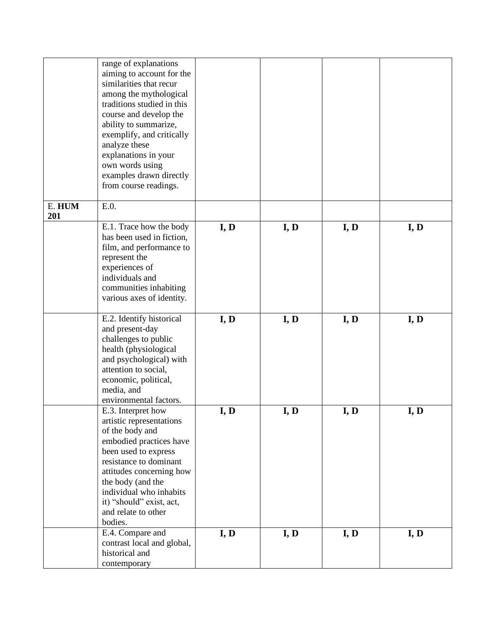|               | range of explanations                                |      |      |      |      |
|---------------|------------------------------------------------------|------|------|------|------|
|               | aiming to account for the<br>similarities that recur |      |      |      |      |
|               | among the mythological                               |      |      |      |      |
|               | traditions studied in this                           |      |      |      |      |
|               | course and develop the                               |      |      |      |      |
|               | ability to summarize,                                |      |      |      |      |
|               | exemplify, and critically                            |      |      |      |      |
|               | analyze these                                        |      |      |      |      |
|               | explanations in your                                 |      |      |      |      |
|               | own words using                                      |      |      |      |      |
|               | examples drawn directly                              |      |      |      |      |
|               | from course readings.                                |      |      |      |      |
|               |                                                      |      |      |      |      |
| E. HUM<br>201 | E.0.                                                 |      |      |      |      |
|               | E.1. Trace how the body                              | I, D | I, D | I, D | I, D |
|               | has been used in fiction,                            |      |      |      |      |
|               | film, and performance to                             |      |      |      |      |
|               | represent the                                        |      |      |      |      |
|               | experiences of                                       |      |      |      |      |
|               | individuals and                                      |      |      |      |      |
|               | communities inhabiting                               |      |      |      |      |
|               | various axes of identity.                            |      |      |      |      |
|               | E.2. Identify historical                             | I, D | I, D | I, D | I, D |
|               | and present-day                                      |      |      |      |      |
|               | challenges to public                                 |      |      |      |      |
|               | health (physiological                                |      |      |      |      |
|               | and psychological) with                              |      |      |      |      |
|               | attention to social,                                 |      |      |      |      |
|               | economic, political,                                 |      |      |      |      |
|               | media, and                                           |      |      |      |      |
|               | environmental factors.                               |      |      |      |      |
|               | E.3. Interpret how                                   | I, D | I, D | I, D | I, D |
|               | artistic representations                             |      |      |      |      |
|               | of the body and<br>embodied practices have           |      |      |      |      |
|               | been used to express                                 |      |      |      |      |
|               | resistance to dominant                               |      |      |      |      |
|               | attitudes concerning how                             |      |      |      |      |
|               | the body (and the                                    |      |      |      |      |
|               | individual who inhabits                              |      |      |      |      |
|               | it) "should" exist, act,                             |      |      |      |      |
|               | and relate to other                                  |      |      |      |      |
|               | bodies.                                              |      |      |      |      |
|               | E.4. Compare and                                     | I, D | I, D | I, D | I, D |
|               | contrast local and global,                           |      |      |      |      |
|               | historical and                                       |      |      |      |      |
|               | contemporary                                         |      |      |      |      |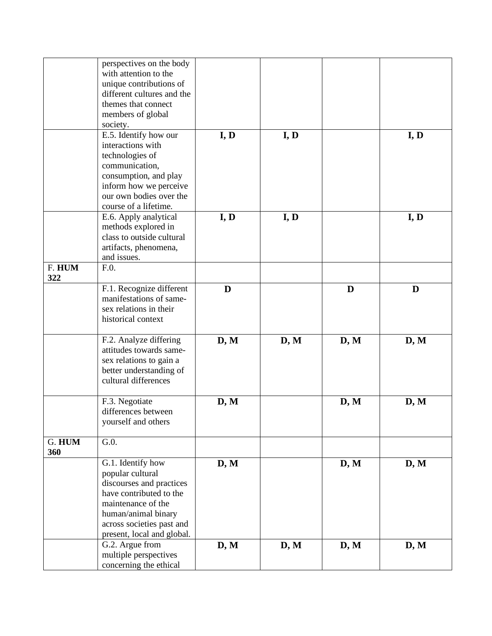|               | perspectives on the body<br>with attention to the<br>unique contributions of<br>different cultures and the<br>themes that connect                                                                    |      |      |      |      |
|---------------|------------------------------------------------------------------------------------------------------------------------------------------------------------------------------------------------------|------|------|------|------|
|               | members of global<br>society.                                                                                                                                                                        |      |      |      |      |
|               | E.5. Identify how our<br>interactions with<br>technologies of<br>communication,<br>consumption, and play<br>inform how we perceive<br>our own bodies over the<br>course of a lifetime.               | I, D | I, D |      | I, D |
|               | E.6. Apply analytical<br>methods explored in<br>class to outside cultural<br>artifacts, phenomena,<br>and issues.                                                                                    | I, D | I, D |      | I, D |
| F. HUM<br>322 | F.0.                                                                                                                                                                                                 |      |      |      |      |
|               | F.1. Recognize different<br>manifestations of same-<br>sex relations in their<br>historical context                                                                                                  | D    |      | D    | D    |
|               | F.2. Analyze differing<br>attitudes towards same-<br>sex relations to gain a<br>better understanding of<br>cultural differences                                                                      | D, M | D, M | D, M | D, M |
|               | F.3. Negotiate<br>differences between<br>yourself and others                                                                                                                                         | D, M |      | D, M | D, M |
| G. HUM<br>360 | G.0.                                                                                                                                                                                                 |      |      |      |      |
|               | G.1. Identify how<br>popular cultural<br>discourses and practices<br>have contributed to the<br>maintenance of the<br>human/animal binary<br>across societies past and<br>present, local and global. | D, M |      | D, M | D, M |
|               | G.2. Argue from<br>multiple perspectives<br>concerning the ethical                                                                                                                                   | D, M | D, M | D, M | D, M |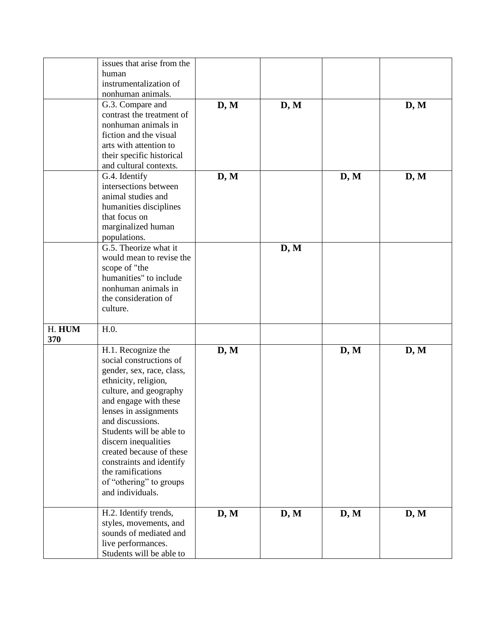|        | issues that arise from the            |      |      |      |      |
|--------|---------------------------------------|------|------|------|------|
|        | human                                 |      |      |      |      |
|        | instrumentalization of                |      |      |      |      |
|        | nonhuman animals.                     |      |      |      |      |
|        | G.3. Compare and                      | D, M | D, M |      | D, M |
|        | contrast the treatment of             |      |      |      |      |
|        | nonhuman animals in                   |      |      |      |      |
|        | fiction and the visual                |      |      |      |      |
|        | arts with attention to                |      |      |      |      |
|        | their specific historical             |      |      |      |      |
|        | and cultural contexts.                |      |      |      |      |
|        | G.4. Identify                         | D, M |      | D, M | D, M |
|        | intersections between                 |      |      |      |      |
|        | animal studies and                    |      |      |      |      |
|        | humanities disciplines                |      |      |      |      |
|        | that focus on                         |      |      |      |      |
|        |                                       |      |      |      |      |
|        | marginalized human                    |      |      |      |      |
|        | populations.<br>G.5. Theorize what it |      |      |      |      |
|        |                                       |      | D, M |      |      |
|        | would mean to revise the              |      |      |      |      |
|        | scope of "the                         |      |      |      |      |
|        | humanities" to include                |      |      |      |      |
|        | nonhuman animals in                   |      |      |      |      |
|        | the consideration of                  |      |      |      |      |
|        | culture.                              |      |      |      |      |
|        |                                       |      |      |      |      |
| H. HUM | H.0.                                  |      |      |      |      |
| 370    |                                       |      |      |      |      |
|        | H.1. Recognize the                    | D, M |      | D, M | D, M |
|        | social constructions of               |      |      |      |      |
|        | gender, sex, race, class,             |      |      |      |      |
|        | ethnicity, religion,                  |      |      |      |      |
|        | culture, and geography                |      |      |      |      |
|        | and engage with these                 |      |      |      |      |
|        | lenses in assignments                 |      |      |      |      |
|        | and discussions.                      |      |      |      |      |
|        | Students will be able to              |      |      |      |      |
|        | discern inequalities                  |      |      |      |      |
|        | created because of these              |      |      |      |      |
|        | constraints and identify              |      |      |      |      |
|        | the ramifications                     |      |      |      |      |
|        | of "othering" to groups               |      |      |      |      |
|        | and individuals.                      |      |      |      |      |
|        |                                       |      |      |      |      |
|        | H.2. Identify trends,                 | D, M | D, M | D, M | D, M |
|        | styles, movements, and                |      |      |      |      |
|        | sounds of mediated and                |      |      |      |      |
|        | live performances.                    |      |      |      |      |
|        | Students will be able to              |      |      |      |      |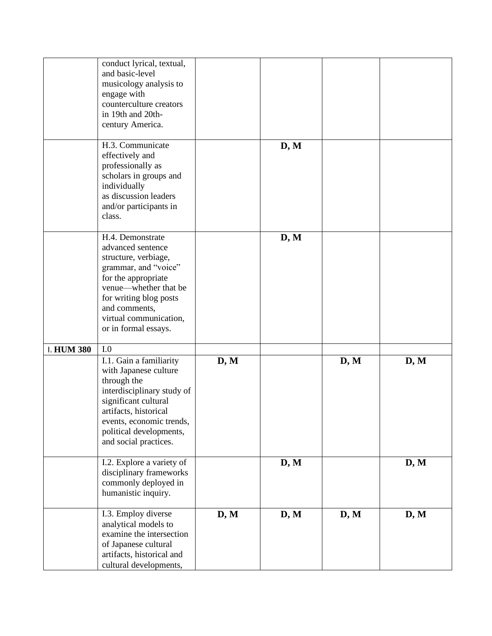|                   | conduct lyrical, textual,<br>and basic-level<br>musicology analysis to<br>engage with<br>counterculture creators<br>in 19th and 20th-<br>century America.                                                                             |      |      |      |      |
|-------------------|---------------------------------------------------------------------------------------------------------------------------------------------------------------------------------------------------------------------------------------|------|------|------|------|
|                   | H.3. Communicate<br>effectively and<br>professionally as<br>scholars in groups and<br>individually<br>as discussion leaders<br>and/or participants in<br>class.                                                                       |      | D, M |      |      |
|                   | H.4. Demonstrate<br>advanced sentence<br>structure, verbiage,<br>grammar, and "voice"<br>for the appropriate<br>venue—whether that be<br>for writing blog posts<br>and comments,<br>virtual communication,<br>or in formal essays.    |      | D, M |      |      |
| <b>I. HUM 380</b> | I.0<br>I.1. Gain a familiarity<br>with Japanese culture<br>through the<br>interdisciplinary study of<br>significant cultural<br>artifacts, historical<br>events, economic trends,<br>political developments,<br>and social practices. | D, M |      | D, M | D, M |
|                   | I.2. Explore a variety of<br>disciplinary frameworks<br>commonly deployed in<br>humanistic inquiry.                                                                                                                                   |      | D, M |      | D, M |
|                   | I.3. Employ diverse<br>analytical models to<br>examine the intersection<br>of Japanese cultural<br>artifacts, historical and<br>cultural developments,                                                                                | D, M | D, M | D, M | D, M |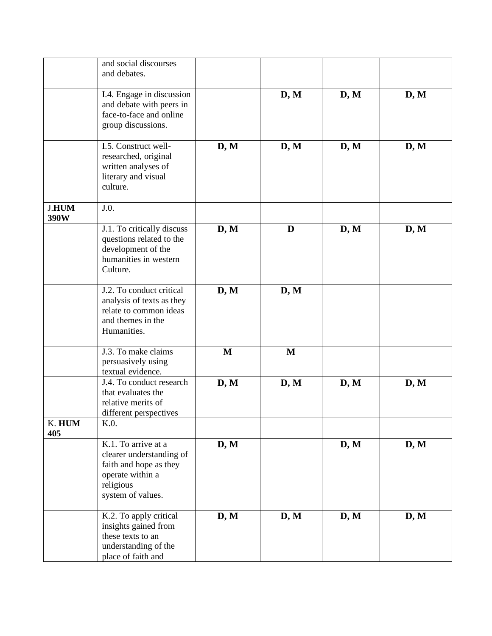|              | and social discourses      |      |      |      |      |
|--------------|----------------------------|------|------|------|------|
|              | and debates.               |      |      |      |      |
|              |                            |      |      |      |      |
|              | I.4. Engage in discussion  |      | D, M | D, M | D, M |
|              | and debate with peers in   |      |      |      |      |
|              | face-to-face and online    |      |      |      |      |
|              | group discussions.         |      |      |      |      |
|              |                            |      |      |      |      |
|              | I.5. Construct well-       | D, M | D, M | D, M | D, M |
|              | researched, original       |      |      |      |      |
|              | written analyses of        |      |      |      |      |
|              | literary and visual        |      |      |      |      |
|              | culture.                   |      |      |      |      |
|              |                            |      |      |      |      |
| <b>J.HUM</b> | J.0.                       |      |      |      |      |
| 390W         |                            |      |      |      |      |
|              | J.1. To critically discuss | D, M | D    | D, M | D, M |
|              | questions related to the   |      |      |      |      |
|              | development of the         |      |      |      |      |
|              | humanities in western      |      |      |      |      |
|              | Culture.                   |      |      |      |      |
|              |                            |      |      |      |      |
|              | J.2. To conduct critical   | D, M | D, M |      |      |
|              | analysis of texts as they  |      |      |      |      |
|              | relate to common ideas     |      |      |      |      |
|              | and themes in the          |      |      |      |      |
|              | Humanities.                |      |      |      |      |
|              |                            |      |      |      |      |
|              | J.3. To make claims        | M    | M    |      |      |
|              | persuasively using         |      |      |      |      |
|              | textual evidence.          |      |      |      |      |
|              | J.4. To conduct research   | D, M | D, M | D, M | D, M |
|              | that evaluates the         |      |      |      |      |
|              | relative merits of         |      |      |      |      |
|              | different perspectives     |      |      |      |      |
| K. HUM       | K.0.                       |      |      |      |      |
| 405          |                            |      |      |      |      |
|              | K.1. To arrive at a        | D, M |      | D, M | D, M |
|              | clearer understanding of   |      |      |      |      |
|              | faith and hope as they     |      |      |      |      |
|              | operate within a           |      |      |      |      |
|              | religious                  |      |      |      |      |
|              | system of values.          |      |      |      |      |
|              |                            |      |      |      |      |
|              | K.2. To apply critical     | D, M | D, M | D, M | D, M |
|              | insights gained from       |      |      |      |      |
|              | these texts to an          |      |      |      |      |
|              | understanding of the       |      |      |      |      |
|              | place of faith and         |      |      |      |      |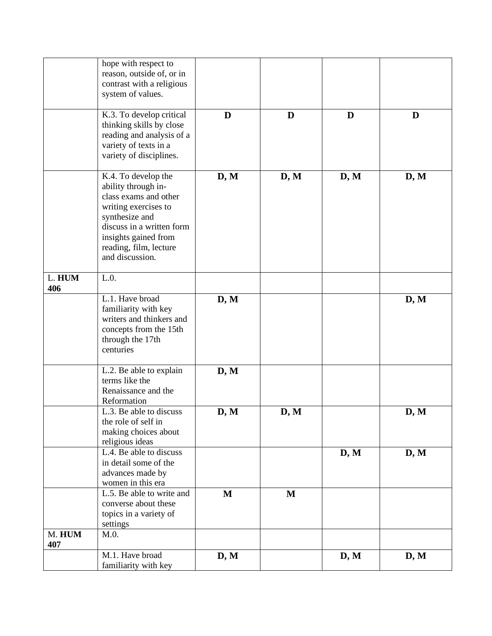|               | hope with respect to<br>reason, outside of, or in<br>contrast with a religious                                                                                                                                  |              |             |      |      |
|---------------|-----------------------------------------------------------------------------------------------------------------------------------------------------------------------------------------------------------------|--------------|-------------|------|------|
|               | system of values.                                                                                                                                                                                               |              |             |      |      |
|               | K.3. To develop critical<br>thinking skills by close<br>reading and analysis of a<br>variety of texts in a<br>variety of disciplines.                                                                           | D            | D           | D    | D    |
|               | K.4. To develop the<br>ability through in-<br>class exams and other<br>writing exercises to<br>synthesize and<br>discuss in a written form<br>insights gained from<br>reading, film, lecture<br>and discussion. | D, M         | D, M        | D, M | D, M |
| L. HUM<br>406 | L.0.                                                                                                                                                                                                            |              |             |      |      |
|               | L.1. Have broad<br>familiarity with key<br>writers and thinkers and<br>concepts from the 15th<br>through the 17th<br>centuries                                                                                  | D, M         |             |      | D, M |
|               | L.2. Be able to explain<br>terms like the<br>Renaissance and the<br>Reformation                                                                                                                                 | D, M         |             |      |      |
|               | L.3. Be able to discuss<br>the role of self in<br>making choices about<br>religious ideas                                                                                                                       | D, M         | D, M        |      | D, M |
|               | L.4. Be able to discuss<br>in detail some of the<br>advances made by<br>women in this era                                                                                                                       |              |             | D, M | D, M |
|               | L.5. Be able to write and<br>converse about these<br>topics in a variety of<br>settings                                                                                                                         | $\mathbf{M}$ | $\mathbf M$ |      |      |
| M. HUM<br>407 | M.0.                                                                                                                                                                                                            |              |             |      |      |
|               | M.1. Have broad<br>familiarity with key                                                                                                                                                                         | D, M         |             | D, M | D, M |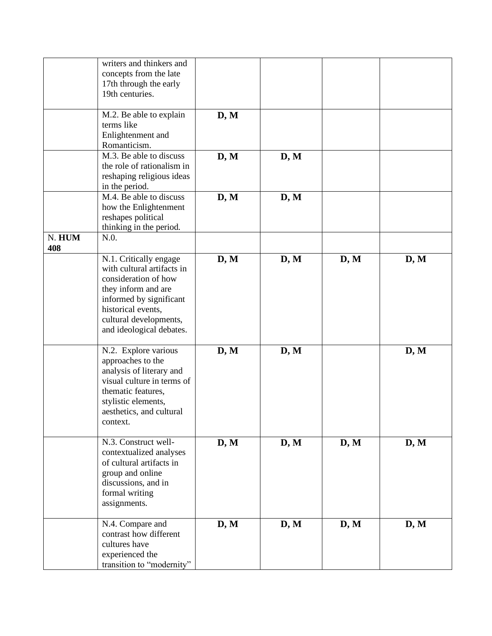|        | writers and thinkers and   |      |      |      |      |
|--------|----------------------------|------|------|------|------|
|        | concepts from the late     |      |      |      |      |
|        | 17th through the early     |      |      |      |      |
|        | 19th centuries.            |      |      |      |      |
|        |                            |      |      |      |      |
|        |                            |      |      |      |      |
|        | M.2. Be able to explain    | D, M |      |      |      |
|        | terms like                 |      |      |      |      |
|        | Enlightenment and          |      |      |      |      |
|        | Romanticism.               |      |      |      |      |
|        | M.3. Be able to discuss    | D, M | D, M |      |      |
|        | the role of rationalism in |      |      |      |      |
|        |                            |      |      |      |      |
|        | reshaping religious ideas  |      |      |      |      |
|        | in the period.             |      |      |      |      |
|        | M.4. Be able to discuss    | D, M | D, M |      |      |
|        | how the Enlightenment      |      |      |      |      |
|        | reshapes political         |      |      |      |      |
|        |                            |      |      |      |      |
|        | thinking in the period.    |      |      |      |      |
| N. HUM | N.0.                       |      |      |      |      |
| 408    |                            |      |      |      |      |
|        | N.1. Critically engage     | D, M | D, M | D, M | D, M |
|        | with cultural artifacts in |      |      |      |      |
|        | consideration of how       |      |      |      |      |
|        | they inform and are        |      |      |      |      |
|        |                            |      |      |      |      |
|        | informed by significant    |      |      |      |      |
|        | historical events,         |      |      |      |      |
|        | cultural developments,     |      |      |      |      |
|        | and ideological debates.   |      |      |      |      |
|        |                            |      |      |      |      |
|        | N.2. Explore various       | D, M | D, M |      | D, M |
|        | approaches to the          |      |      |      |      |
|        |                            |      |      |      |      |
|        | analysis of literary and   |      |      |      |      |
|        | visual culture in terms of |      |      |      |      |
|        | thematic features,         |      |      |      |      |
|        | stylistic elements,        |      |      |      |      |
|        | aesthetics, and cultural   |      |      |      |      |
|        | context.                   |      |      |      |      |
|        |                            |      |      |      |      |
|        |                            |      |      |      |      |
|        | N.3. Construct well-       | D, M | D, M | D, M | D, M |
|        | contextualized analyses    |      |      |      |      |
|        | of cultural artifacts in   |      |      |      |      |
|        | group and online           |      |      |      |      |
|        | discussions, and in        |      |      |      |      |
|        | formal writing             |      |      |      |      |
|        |                            |      |      |      |      |
|        | assignments.               |      |      |      |      |
|        |                            |      |      |      |      |
|        | N.4. Compare and           | D, M | D, M | D, M | D, M |
|        | contrast how different     |      |      |      |      |
|        | cultures have              |      |      |      |      |
|        | experienced the            |      |      |      |      |
|        | transition to "modernity"  |      |      |      |      |
|        |                            |      |      |      |      |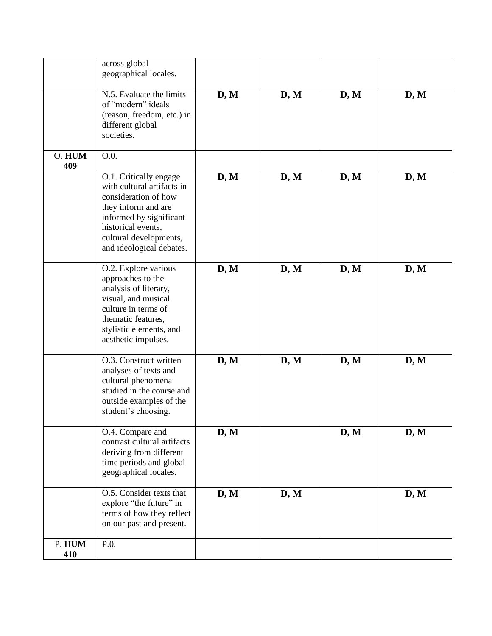|        | across global<br>geographical locales.                |      |      |      |      |
|--------|-------------------------------------------------------|------|------|------|------|
|        |                                                       |      |      |      |      |
|        | N.5. Evaluate the limits                              | D, M | D, M | D, M | D, M |
|        | of "modern" ideals                                    |      |      |      |      |
|        | (reason, freedom, etc.) in                            |      |      |      |      |
|        | different global<br>societies.                        |      |      |      |      |
|        |                                                       |      |      |      |      |
| O. HUM | O.0.                                                  |      |      |      |      |
| 409    |                                                       |      |      |      |      |
|        | O.1. Critically engage                                | D, M | D, M | D, M | D, M |
|        | with cultural artifacts in<br>consideration of how    |      |      |      |      |
|        | they inform and are                                   |      |      |      |      |
|        | informed by significant                               |      |      |      |      |
|        | historical events,                                    |      |      |      |      |
|        | cultural developments,                                |      |      |      |      |
|        | and ideological debates.                              |      |      |      |      |
|        | O.2. Explore various                                  | D, M | D, M | D, M | D, M |
|        | approaches to the                                     |      |      |      |      |
|        | analysis of literary,                                 |      |      |      |      |
|        | visual, and musical<br>culture in terms of            |      |      |      |      |
|        | thematic features,                                    |      |      |      |      |
|        | stylistic elements, and                               |      |      |      |      |
|        | aesthetic impulses.                                   |      |      |      |      |
|        | O.3. Construct written                                | D, M | D, M | D, M | D, M |
|        | analyses of texts and                                 |      |      |      |      |
|        | cultural phenomena                                    |      |      |      |      |
|        | studied in the course and                             |      |      |      |      |
|        | outside examples of the                               |      |      |      |      |
|        | student's choosing.                                   |      |      |      |      |
|        | O.4. Compare and                                      | D, M |      | D, M | D, M |
|        | contrast cultural artifacts                           |      |      |      |      |
|        | deriving from different                               |      |      |      |      |
|        | time periods and global<br>geographical locales.      |      |      |      |      |
|        |                                                       |      |      |      |      |
|        | O.5. Consider texts that                              | D, M | D, M |      | D, M |
|        | explore "the future" in                               |      |      |      |      |
|        | terms of how they reflect<br>on our past and present. |      |      |      |      |
|        |                                                       |      |      |      |      |
| P. HUM | P.O.                                                  |      |      |      |      |
| 410    |                                                       |      |      |      |      |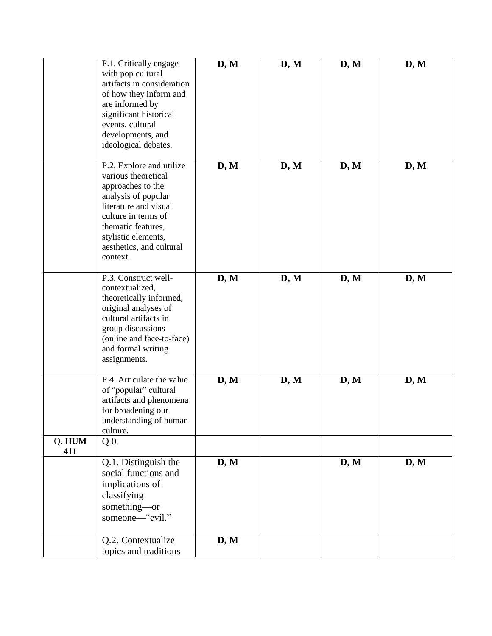|        | P.1. Critically engage<br>with pop cultural<br>artifacts in consideration<br>of how they inform and<br>are informed by<br>significant historical<br>events, cultural<br>developments, and<br>ideological debates.                | D, M | D, M | D, M | D, M |
|--------|----------------------------------------------------------------------------------------------------------------------------------------------------------------------------------------------------------------------------------|------|------|------|------|
|        | P.2. Explore and utilize<br>various theoretical<br>approaches to the<br>analysis of popular<br>literature and visual<br>culture in terms of<br>thematic features,<br>stylistic elements,<br>aesthetics, and cultural<br>context. | D, M | D, M | D, M | D, M |
|        | P.3. Construct well-<br>contextualized,<br>theoretically informed,<br>original analyses of<br>cultural artifacts in<br>group discussions<br>(online and face-to-face)<br>and formal writing<br>assignments.                      | D, M | D, M | D, M | D, M |
| Q. HUM | P.4. Articulate the value<br>of "popular" cultural<br>artifacts and phenomena<br>for broadening our<br>understanding of human<br>culture.<br>Q.0.                                                                                | D, M | D, M | D, M | D, M |
| 411    | Q.1. Distinguish the<br>social functions and<br>implications of<br>classifying<br>something-or<br>someone-"evil."                                                                                                                | D, M |      | D, M | D, M |
|        | Q.2. Contextualize<br>topics and traditions                                                                                                                                                                                      | D, M |      |      |      |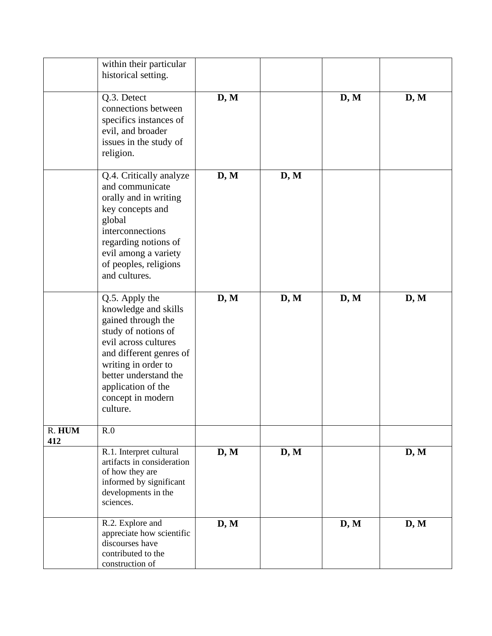|               | within their particular    |      |      |      |      |
|---------------|----------------------------|------|------|------|------|
|               | historical setting.        |      |      |      |      |
|               |                            |      |      |      |      |
|               | Q.3. Detect                | D, M |      | D, M | D, M |
|               | connections between        |      |      |      |      |
|               | specifics instances of     |      |      |      |      |
|               | evil, and broader          |      |      |      |      |
|               | issues in the study of     |      |      |      |      |
|               |                            |      |      |      |      |
|               | religion.                  |      |      |      |      |
|               |                            |      |      |      |      |
|               | Q.4. Critically analyze    | D, M | D, M |      |      |
|               | and communicate            |      |      |      |      |
|               | orally and in writing      |      |      |      |      |
|               | key concepts and           |      |      |      |      |
|               | global                     |      |      |      |      |
|               | interconnections           |      |      |      |      |
|               | regarding notions of       |      |      |      |      |
|               | evil among a variety       |      |      |      |      |
|               | of peoples, religions      |      |      |      |      |
|               | and cultures.              |      |      |      |      |
|               |                            |      |      |      |      |
|               | Q.5. Apply the             | D, M | D, M | D, M | D, M |
|               | knowledge and skills       |      |      |      |      |
|               | gained through the         |      |      |      |      |
|               | study of notions of        |      |      |      |      |
|               | evil across cultures       |      |      |      |      |
|               | and different genres of    |      |      |      |      |
|               | writing in order to        |      |      |      |      |
|               | better understand the      |      |      |      |      |
|               | application of the         |      |      |      |      |
|               | concept in modern          |      |      |      |      |
|               | culture.                   |      |      |      |      |
|               |                            |      |      |      |      |
| R. HUM<br>412 | R.0                        |      |      |      |      |
|               | R.1. Interpret cultural    | D, M | D, M |      | D, M |
|               | artifacts in consideration |      |      |      |      |
|               | of how they are            |      |      |      |      |
|               | informed by significant    |      |      |      |      |
|               | developments in the        |      |      |      |      |
|               | sciences.                  |      |      |      |      |
|               |                            |      |      |      |      |
|               | R.2. Explore and           | D, M |      | D, M | D, M |
|               | appreciate how scientific  |      |      |      |      |
|               | discourses have            |      |      |      |      |
|               | contributed to the         |      |      |      |      |
|               | construction of            |      |      |      |      |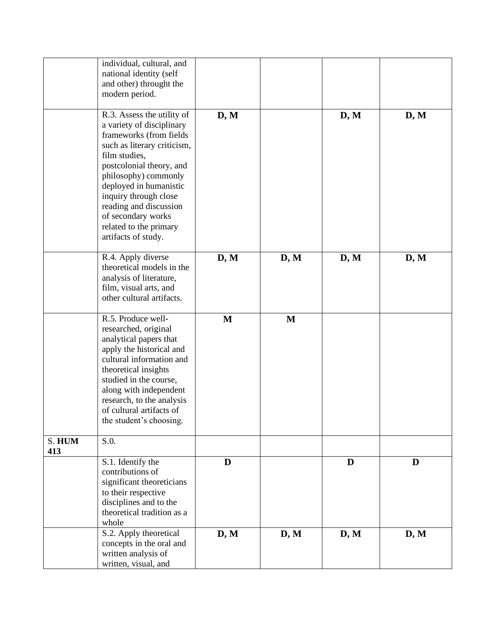|               | individual, cultural, and<br>national identity (self<br>and other) throught the                                                                                                                                                                                                                              |              |              |      |      |
|---------------|--------------------------------------------------------------------------------------------------------------------------------------------------------------------------------------------------------------------------------------------------------------------------------------------------------------|--------------|--------------|------|------|
|               | modern period.<br>R.3. Assess the utility of                                                                                                                                                                                                                                                                 | D, M         |              | D, M | D, M |
|               | a variety of disciplinary<br>frameworks (from fields<br>such as literary criticism,<br>film studies,<br>postcolonial theory, and<br>philosophy) commonly<br>deployed in humanistic<br>inquiry through close<br>reading and discussion<br>of secondary works<br>related to the primary<br>artifacts of study. |              |              |      |      |
|               | R.4. Apply diverse<br>theoretical models in the<br>analysis of literature,<br>film, visual arts, and<br>other cultural artifacts.                                                                                                                                                                            | D, M         | D, M         | D, M | D, M |
|               | R.5. Produce well-<br>researched, original<br>analytical papers that<br>apply the historical and<br>cultural information and<br>theoretical insights<br>studied in the course,<br>along with independent<br>research, to the analysis<br>of cultural artifacts of<br>the student's choosing.                 | $\mathbf{M}$ | $\mathbf{M}$ |      |      |
| S. HUM<br>413 | S.O.                                                                                                                                                                                                                                                                                                         |              |              |      |      |
|               | S.1. Identify the<br>contributions of<br>significant theoreticians<br>to their respective<br>disciplines and to the<br>theoretical tradition as a<br>whole                                                                                                                                                   | D            |              | D    | D    |
|               | S.2. Apply theoretical<br>concepts in the oral and<br>written analysis of<br>written, visual, and                                                                                                                                                                                                            | D, M         | D, M         | D, M | D, M |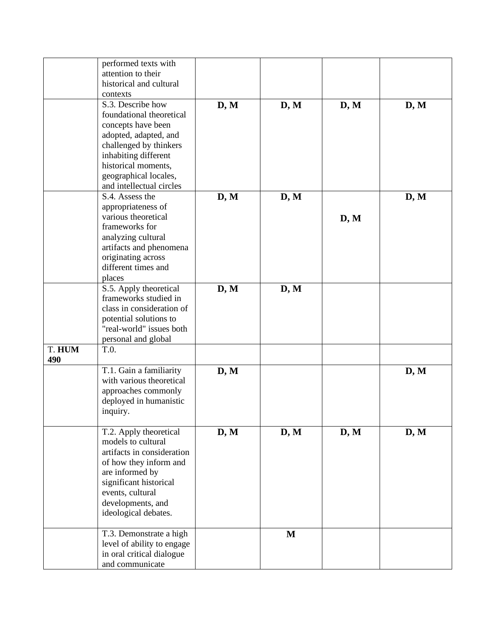|        | performed texts with       |      |              |      |      |
|--------|----------------------------|------|--------------|------|------|
|        | attention to their         |      |              |      |      |
|        | historical and cultural    |      |              |      |      |
|        | contexts                   |      |              |      |      |
|        | S.3. Describe how          | D, M | D, M         | D, M | D, M |
|        | foundational theoretical   |      |              |      |      |
|        |                            |      |              |      |      |
|        | concepts have been         |      |              |      |      |
|        | adopted, adapted, and      |      |              |      |      |
|        | challenged by thinkers     |      |              |      |      |
|        | inhabiting different       |      |              |      |      |
|        | historical moments,        |      |              |      |      |
|        | geographical locales,      |      |              |      |      |
|        | and intellectual circles   |      |              |      |      |
|        | S.4. Assess the            |      |              |      |      |
|        |                            | D, M | D, M         |      | D, M |
|        | appropriateness of         |      |              |      |      |
|        | various theoretical        |      |              | D, M |      |
|        | frameworks for             |      |              |      |      |
|        | analyzing cultural         |      |              |      |      |
|        | artifacts and phenomena    |      |              |      |      |
|        | originating across         |      |              |      |      |
|        | different times and        |      |              |      |      |
|        |                            |      |              |      |      |
|        | places                     |      |              |      |      |
|        | S.5. Apply theoretical     | D, M | D, M         |      |      |
|        | frameworks studied in      |      |              |      |      |
|        | class in consideration of  |      |              |      |      |
|        | potential solutions to     |      |              |      |      |
|        | "real-world" issues both   |      |              |      |      |
|        | personal and global        |      |              |      |      |
| T. HUM | T.0.                       |      |              |      |      |
| 490    |                            |      |              |      |      |
|        |                            |      |              |      |      |
|        | T.1. Gain a familiarity    | D, M |              |      | D, M |
|        | with various theoretical   |      |              |      |      |
|        | approaches commonly        |      |              |      |      |
|        | deployed in humanistic     |      |              |      |      |
|        | inquiry.                   |      |              |      |      |
|        |                            |      |              |      |      |
|        | T.2. Apply theoretical     | D, M | D, M         | D, M | D, M |
|        | models to cultural         |      |              |      |      |
|        |                            |      |              |      |      |
|        | artifacts in consideration |      |              |      |      |
|        | of how they inform and     |      |              |      |      |
|        | are informed by            |      |              |      |      |
|        | significant historical     |      |              |      |      |
|        | events, cultural           |      |              |      |      |
|        | developments, and          |      |              |      |      |
|        | ideological debates.       |      |              |      |      |
|        |                            |      |              |      |      |
|        | T.3. Demonstrate a high    |      | $\mathbf{M}$ |      |      |
|        | level of ability to engage |      |              |      |      |
|        | in oral critical dialogue  |      |              |      |      |
|        | and communicate            |      |              |      |      |
|        |                            |      |              |      |      |